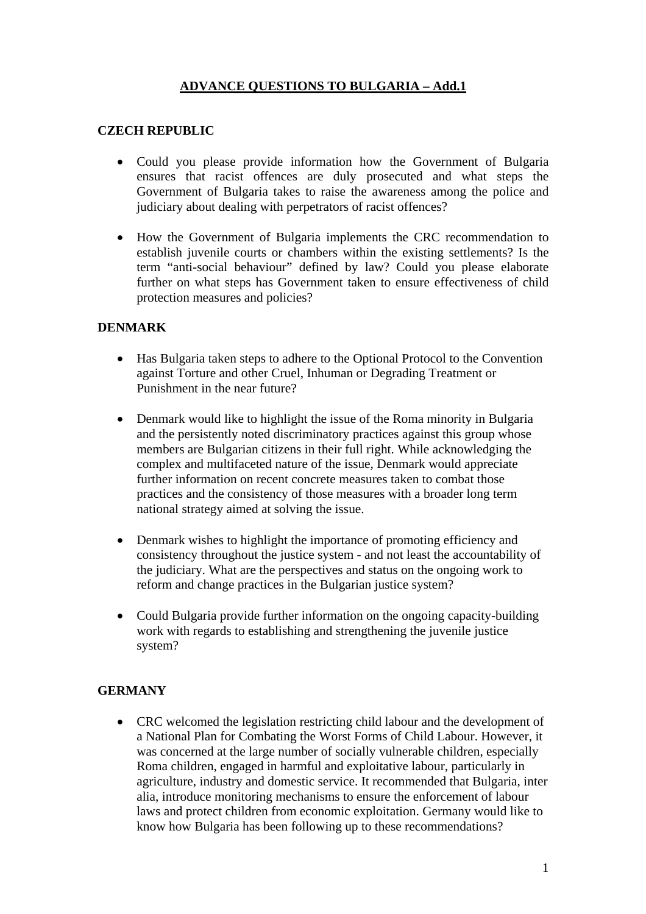# **ADVANCE QUESTIONS TO BULGARIA – Add.1**

## **CZECH REPUBLIC**

- Could you please provide information how the Government of Bulgaria ensures that racist offences are duly prosecuted and what steps the Government of Bulgaria takes to raise the awareness among the police and judiciary about dealing with perpetrators of racist offences?
- How the Government of Bulgaria implements the CRC recommendation to establish juvenile courts or chambers within the existing settlements? Is the term "anti-social behaviour" defined by law? Could you please elaborate further on what steps has Government taken to ensure effectiveness of child protection measures and policies?

### **DENMARK**

- Has Bulgaria taken steps to adhere to the Optional Protocol to the Convention against Torture and other Cruel, Inhuman or Degrading Treatment or Punishment in the near future?
- Denmark would like to highlight the issue of the Roma minority in Bulgaria and the persistently noted discriminatory practices against this group whose members are Bulgarian citizens in their full right. While acknowledging the complex and multifaceted nature of the issue, Denmark would appreciate further information on recent concrete measures taken to combat those practices and the consistency of those measures with a broader long term national strategy aimed at solving the issue.
- Denmark wishes to highlight the importance of promoting efficiency and consistency throughout the justice system - and not least the accountability of the judiciary. What are the perspectives and status on the ongoing work to reform and change practices in the Bulgarian justice system?
- Could Bulgaria provide further information on the ongoing capacity-building work with regards to establishing and strengthening the juvenile justice system?

### **GERMANY**

• CRC welcomed the legislation restricting child labour and the development of a National Plan for Combating the Worst Forms of Child Labour. However, it was concerned at the large number of socially vulnerable children, especially Roma children, engaged in harmful and exploitative labour, particularly in agriculture, industry and domestic service. It recommended that Bulgaria, inter alia, introduce monitoring mechanisms to ensure the enforcement of labour laws and protect children from economic exploitation. Germany would like to know how Bulgaria has been following up to these recommendations?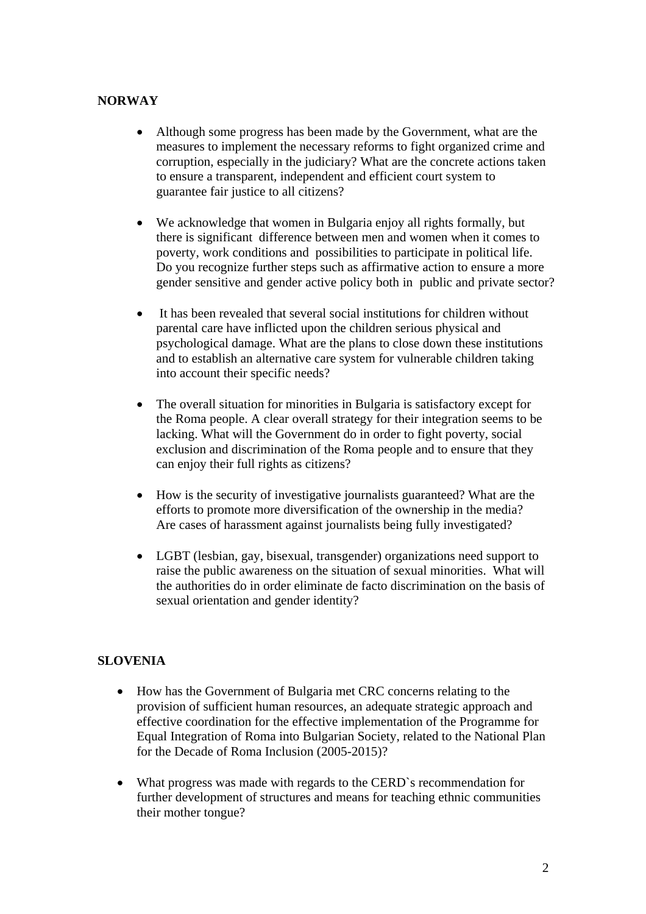## **NORWAY**

- Although some progress has been made by the Government, what are the measures to implement the necessary reforms to fight organized crime and corruption, especially in the judiciary? What are the concrete actions taken to ensure a transparent, independent and efficient court system to guarantee fair justice to all citizens?
- We acknowledge that women in Bulgaria enjoy all rights formally, but there is significant difference between men and women when it comes to poverty, work conditions and possibilities to participate in political life. Do you recognize further steps such as affirmative action to ensure a more gender sensitive and gender active policy both in public and private sector?
- It has been revealed that several social institutions for children without parental care have inflicted upon the children serious physical and psychological damage. What are the plans to close down these institutions and to establish an alternative care system for vulnerable children taking into account their specific needs?
- The overall situation for minorities in Bulgaria is satisfactory except for the Roma people. A clear overall strategy for their integration seems to be lacking. What will the Government do in order to fight poverty, social exclusion and discrimination of the Roma people and to ensure that they can enjoy their full rights as citizens?
- How is the security of investigative journalists guaranteed? What are the efforts to promote more diversification of the ownership in the media? Are cases of harassment against journalists being fully investigated?
- LGBT (lesbian, gay, bisexual, transgender) organizations need support to raise the public awareness on the situation of sexual minorities. What will the authorities do in order eliminate de facto discrimination on the basis of sexual orientation and gender identity?

# **SLOVENIA**

- How has the Government of Bulgaria met CRC concerns relating to the provision of sufficient human resources, an adequate strategic approach and effective coordination for the effective implementation of the Programme for Equal Integration of Roma into Bulgarian Society, related to the National Plan for the Decade of Roma Inclusion (2005-2015)?
- What progress was made with regards to the CERD`s recommendation for further development of structures and means for teaching ethnic communities their mother tongue?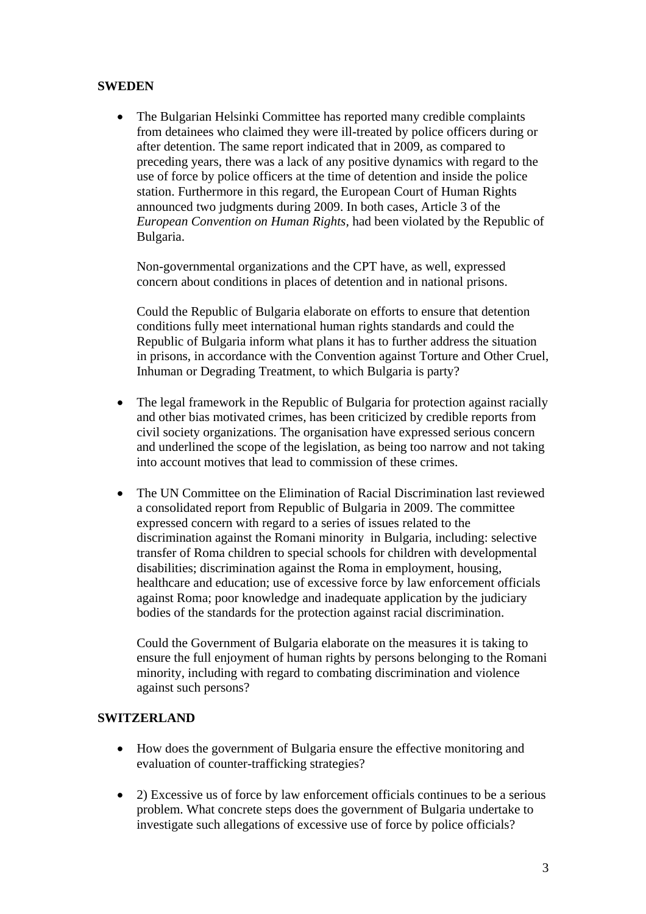## **SWEDEN**

• The Bulgarian Helsinki Committee has reported many credible complaints from detainees who claimed they were ill-treated by police officers during or after detention. The same report indicated that in 2009, as compared to preceding years, there was a lack of any positive dynamics with regard to the use of force by police officers at the time of detention and inside the police station. Furthermore in this regard, the European Court of Human Rights announced two judgments during 2009. In both cases, Article 3 of the *European Convention on Human Rights,* had been violated by the Republic of Bulgaria.

Non-governmental organizations and the CPT have, as well, expressed concern about conditions in places of detention and in national prisons.

Could the Republic of Bulgaria elaborate on efforts to ensure that detention conditions fully meet international human rights standards and could the Republic of Bulgaria inform what plans it has to further address the situation in prisons, in accordance with the Convention against Torture and Other Cruel, Inhuman or Degrading Treatment, to which Bulgaria is party?

- The legal framework in the Republic of Bulgaria for protection against racially and other bias motivated crimes, has been criticized by credible reports from civil society organizations. The organisation have expressed serious concern and underlined the scope of the legislation, as being too narrow and not taking into account motives that lead to commission of these crimes.
- The UN Committee on the Elimination of Racial Discrimination last reviewed a consolidated report from Republic of Bulgaria in 2009. The committee expressed concern with regard to a series of issues related to the discrimination against the Romani minority in Bulgaria, including: selective transfer of Roma children to special schools for children with developmental disabilities; discrimination against the Roma in employment, housing, healthcare and education; use of excessive force by law enforcement officials against Roma; poor knowledge and inadequate application by the judiciary bodies of the standards for the protection against racial discrimination.

Could the Government of Bulgaria elaborate on the measures it is taking to ensure the full enjoyment of human rights by persons belonging to the Romani minority, including with regard to combating discrimination and violence against such persons?

### **SWITZERLAND**

- How does the government of Bulgaria ensure the effective monitoring and evaluation of counter-trafficking strategies?
- 2) Excessive us of force by law enforcement officials continues to be a serious problem. What concrete steps does the government of Bulgaria undertake to investigate such allegations of excessive use of force by police officials?